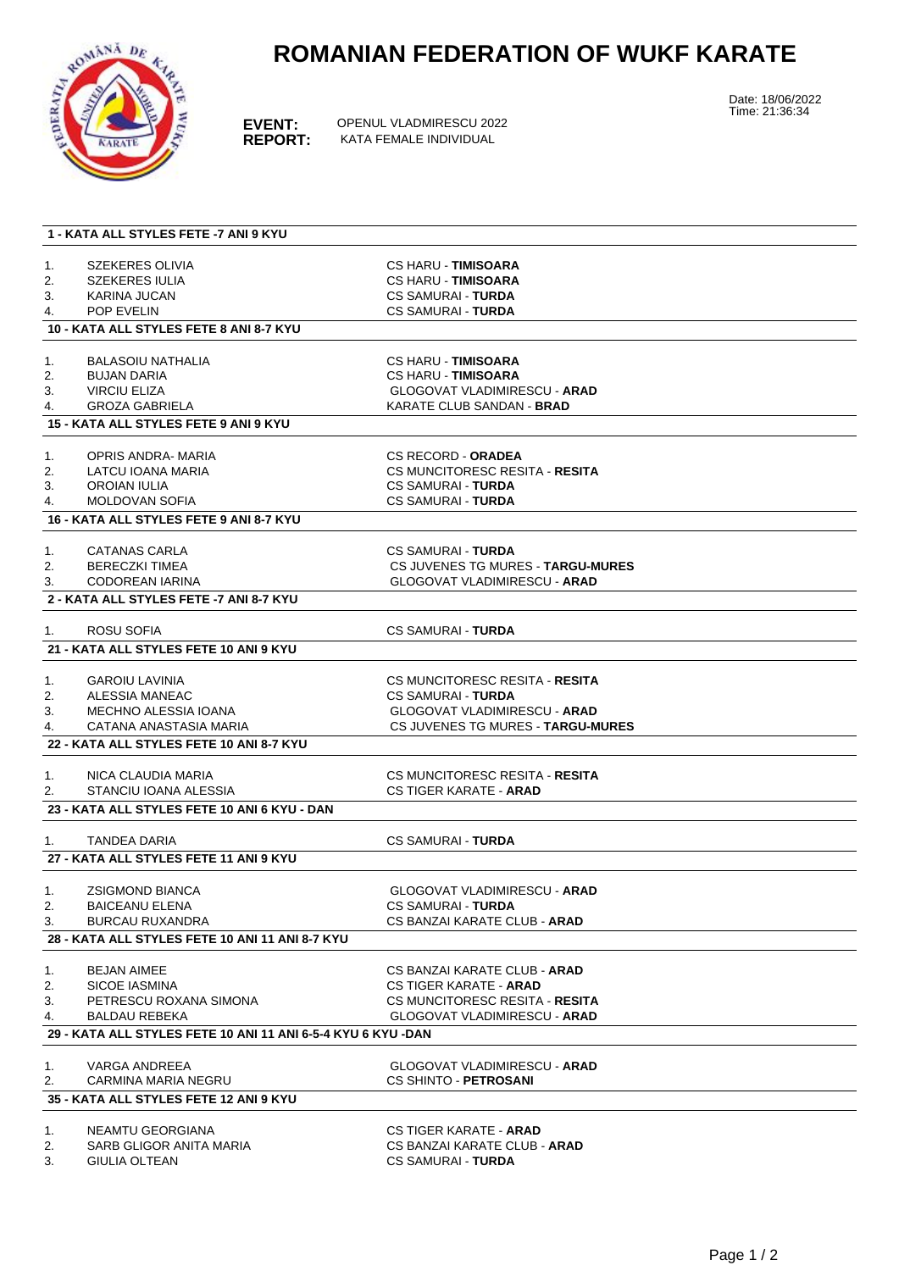

## **ROMANIAN FEDERATION OF WUKF KARATE**

**EVENT:** OPENUL VLADMIRESCU 2022<br>**REPORT:** KATA FEMALE INDIVIDUAL **KATA FEMALE INDIVIDUAL** 

Date: 18/06/2022 Time: 21:36:34

| SZEKERES OLIVIA<br><b>CS HARU - TIMISOARA</b><br>1.<br>2.<br><b>SZEKERES IULIA</b><br><b>CS HARU - TIMISOARA</b><br>3.<br>KARINA JUCAN<br><b>CS SAMURAI - TURDA</b><br><b>POP EVELIN</b><br><b>CS SAMURAI - TURDA</b><br>4.<br>10 - KATA ALL STYLES FETE 8 ANI 8-7 KYU<br><b>CS HARU - TIMISOARA</b><br><b>BALASOIU NATHALIA</b><br>1.<br>2.<br><b>CS HARU - TIMISOARA</b><br><b>BUJAN DARIA</b><br><b>VIRCIU ELIZA</b><br><b>GLOGOVAT VLADIMIRESCU - ARAD</b><br>3.<br><b>GROZA GABRIELA</b><br>KARATE CLUB SANDAN - BRAD<br>4.<br>15 - KATA ALL STYLES FETE 9 ANI 9 KYU<br>OPRIS ANDRA- MARIA<br><b>CS RECORD - ORADEA</b><br>1.<br>CS MUNCITORESC RESITA - RESITA<br>2.<br>LATCU IOANA MARIA<br><b>OROIAN IULIA</b><br>CS SAMURAI - <b>TURDA</b><br>3.<br><b>MOLDOVAN SOFIA</b><br><b>CS SAMURAI - TURDA</b><br>4.<br>16 - KATA ALL STYLES FETE 9 ANI 8-7 KYU<br><b>CATANAS CARLA</b><br>CS SAMURAI - <b>TURDA</b><br>1.<br><b>BERECZKI TIMEA</b><br>CS JUVENES TG MURES - TARGU-MURES<br>2.<br><b>CODOREAN IARINA</b><br><b>GLOGOVAT VLADIMIRESCU - ARAD</b><br>3.<br>2 - KATA ALL STYLES FETE -7 ANI 8-7 KYU<br>ROSU SOFIA<br><b>CS SAMURAI - TURDA</b><br>1.<br>21 - KATA ALL STYLES FETE 10 ANI 9 KYU<br><b>GAROIU LAVINIA</b><br>CS MUNCITORESC RESITA - RESITA<br>1.<br>2.<br>ALESSIA MANEAC<br><b>CS SAMURAI - TURDA</b><br>MECHNO ALESSIA IOANA<br><b>GLOGOVAT VLADIMIRESCU - ARAD</b><br>3.<br>CATANA ANASTASIA MARIA<br>CS JUVENES TG MURES - TARGU-MURES<br>4.<br>22 - KATA ALL STYLES FETE 10 ANI 8-7 KYU<br>CS MUNCITORESC RESITA - RESITA<br>NICA CLAUDIA MARIA<br>1.<br>2.<br>STANCIU IOANA ALESSIA<br><b>CS TIGER KARATE - ARAD</b><br>23 - KATA ALL STYLES FETE 10 ANI 6 KYU - DAN<br><b>TANDEA DARIA</b><br><b>CS SAMURAI - TURDA</b><br>1.<br>27 - KATA ALL STYLES FETE 11 ANI 9 KYU<br><b>GLOGOVAT VLADIMIRESCU - ARAD</b><br><b>ZSIGMOND BIANCA</b><br>1.<br>2.<br><b>BAICEANU ELENA</b><br><b>CS SAMURAI - TURDA</b><br><b>BURCAU RUXANDRA</b><br>CS BANZAI KARATE CLUB - ARAD<br>3.<br>28 - KATA ALL STYLES FETE 10 ANI 11 ANI 8-7 KYU<br><b>BEJAN AIMEE</b><br>CS BANZAI KARATE CLUB - ARAD<br>1.<br>2.<br><b>SICOE IASMINA</b><br>CS TIGER KARATE - ARAD<br>PETRESCU ROXANA SIMONA<br>3.<br>CS MUNCITORESC RESITA - RESITA<br><b>BALDAU REBEKA</b><br><b>GLOGOVAT VLADIMIRESCU - ARAD</b><br>4.<br>29 - KATA ALL STYLES FETE 10 ANI 11 ANI 6-5-4 KYU 6 KYU -DAN<br>VARGA ANDREEA<br><b>GLOGOVAT VLADIMIRESCU - ARAD</b><br>1.<br><b>CARMINA MARIA NEGRU</b><br>CS SHINTO - PETROSANI<br>2.<br>35 - KATA ALL STYLES FETE 12 ANI 9 KYU<br>NEAMTU GEORGIANA<br><b>CS TIGER KARATE - ARAD</b><br>1.<br>CS BANZAI KARATE CLUB - ARAD<br>2.<br>SARB GLIGOR ANITA MARIA<br><b>GIULIA OLTEAN</b><br><b>CS SAMURAI - TURDA</b><br>3. |  | 1 - KATA ALL STYLES FETE -7 ANI 9 KYU |  |  |  |
|---------------------------------------------------------------------------------------------------------------------------------------------------------------------------------------------------------------------------------------------------------------------------------------------------------------------------------------------------------------------------------------------------------------------------------------------------------------------------------------------------------------------------------------------------------------------------------------------------------------------------------------------------------------------------------------------------------------------------------------------------------------------------------------------------------------------------------------------------------------------------------------------------------------------------------------------------------------------------------------------------------------------------------------------------------------------------------------------------------------------------------------------------------------------------------------------------------------------------------------------------------------------------------------------------------------------------------------------------------------------------------------------------------------------------------------------------------------------------------------------------------------------------------------------------------------------------------------------------------------------------------------------------------------------------------------------------------------------------------------------------------------------------------------------------------------------------------------------------------------------------------------------------------------------------------------------------------------------------------------------------------------------------------------------------------------------------------------------------------------------------------------------------------------------------------------------------------------------------------------------------------------------------------------------------------------------------------------------------------------------------------------------------------------------------------------------------------------------------------------------------------------------------------------------------------------------------------------------------------------------------------------------------------------------------------------------------------------------------------------------------------|--|---------------------------------------|--|--|--|
|                                                                                                                                                                                                                                                                                                                                                                                                                                                                                                                                                                                                                                                                                                                                                                                                                                                                                                                                                                                                                                                                                                                                                                                                                                                                                                                                                                                                                                                                                                                                                                                                                                                                                                                                                                                                                                                                                                                                                                                                                                                                                                                                                                                                                                                                                                                                                                                                                                                                                                                                                                                                                                                                                                                                                         |  |                                       |  |  |  |
|                                                                                                                                                                                                                                                                                                                                                                                                                                                                                                                                                                                                                                                                                                                                                                                                                                                                                                                                                                                                                                                                                                                                                                                                                                                                                                                                                                                                                                                                                                                                                                                                                                                                                                                                                                                                                                                                                                                                                                                                                                                                                                                                                                                                                                                                                                                                                                                                                                                                                                                                                                                                                                                                                                                                                         |  |                                       |  |  |  |
|                                                                                                                                                                                                                                                                                                                                                                                                                                                                                                                                                                                                                                                                                                                                                                                                                                                                                                                                                                                                                                                                                                                                                                                                                                                                                                                                                                                                                                                                                                                                                                                                                                                                                                                                                                                                                                                                                                                                                                                                                                                                                                                                                                                                                                                                                                                                                                                                                                                                                                                                                                                                                                                                                                                                                         |  |                                       |  |  |  |
|                                                                                                                                                                                                                                                                                                                                                                                                                                                                                                                                                                                                                                                                                                                                                                                                                                                                                                                                                                                                                                                                                                                                                                                                                                                                                                                                                                                                                                                                                                                                                                                                                                                                                                                                                                                                                                                                                                                                                                                                                                                                                                                                                                                                                                                                                                                                                                                                                                                                                                                                                                                                                                                                                                                                                         |  |                                       |  |  |  |
|                                                                                                                                                                                                                                                                                                                                                                                                                                                                                                                                                                                                                                                                                                                                                                                                                                                                                                                                                                                                                                                                                                                                                                                                                                                                                                                                                                                                                                                                                                                                                                                                                                                                                                                                                                                                                                                                                                                                                                                                                                                                                                                                                                                                                                                                                                                                                                                                                                                                                                                                                                                                                                                                                                                                                         |  |                                       |  |  |  |
|                                                                                                                                                                                                                                                                                                                                                                                                                                                                                                                                                                                                                                                                                                                                                                                                                                                                                                                                                                                                                                                                                                                                                                                                                                                                                                                                                                                                                                                                                                                                                                                                                                                                                                                                                                                                                                                                                                                                                                                                                                                                                                                                                                                                                                                                                                                                                                                                                                                                                                                                                                                                                                                                                                                                                         |  |                                       |  |  |  |
|                                                                                                                                                                                                                                                                                                                                                                                                                                                                                                                                                                                                                                                                                                                                                                                                                                                                                                                                                                                                                                                                                                                                                                                                                                                                                                                                                                                                                                                                                                                                                                                                                                                                                                                                                                                                                                                                                                                                                                                                                                                                                                                                                                                                                                                                                                                                                                                                                                                                                                                                                                                                                                                                                                                                                         |  |                                       |  |  |  |
|                                                                                                                                                                                                                                                                                                                                                                                                                                                                                                                                                                                                                                                                                                                                                                                                                                                                                                                                                                                                                                                                                                                                                                                                                                                                                                                                                                                                                                                                                                                                                                                                                                                                                                                                                                                                                                                                                                                                                                                                                                                                                                                                                                                                                                                                                                                                                                                                                                                                                                                                                                                                                                                                                                                                                         |  |                                       |  |  |  |
|                                                                                                                                                                                                                                                                                                                                                                                                                                                                                                                                                                                                                                                                                                                                                                                                                                                                                                                                                                                                                                                                                                                                                                                                                                                                                                                                                                                                                                                                                                                                                                                                                                                                                                                                                                                                                                                                                                                                                                                                                                                                                                                                                                                                                                                                                                                                                                                                                                                                                                                                                                                                                                                                                                                                                         |  |                                       |  |  |  |
|                                                                                                                                                                                                                                                                                                                                                                                                                                                                                                                                                                                                                                                                                                                                                                                                                                                                                                                                                                                                                                                                                                                                                                                                                                                                                                                                                                                                                                                                                                                                                                                                                                                                                                                                                                                                                                                                                                                                                                                                                                                                                                                                                                                                                                                                                                                                                                                                                                                                                                                                                                                                                                                                                                                                                         |  |                                       |  |  |  |
|                                                                                                                                                                                                                                                                                                                                                                                                                                                                                                                                                                                                                                                                                                                                                                                                                                                                                                                                                                                                                                                                                                                                                                                                                                                                                                                                                                                                                                                                                                                                                                                                                                                                                                                                                                                                                                                                                                                                                                                                                                                                                                                                                                                                                                                                                                                                                                                                                                                                                                                                                                                                                                                                                                                                                         |  |                                       |  |  |  |
|                                                                                                                                                                                                                                                                                                                                                                                                                                                                                                                                                                                                                                                                                                                                                                                                                                                                                                                                                                                                                                                                                                                                                                                                                                                                                                                                                                                                                                                                                                                                                                                                                                                                                                                                                                                                                                                                                                                                                                                                                                                                                                                                                                                                                                                                                                                                                                                                                                                                                                                                                                                                                                                                                                                                                         |  |                                       |  |  |  |
|                                                                                                                                                                                                                                                                                                                                                                                                                                                                                                                                                                                                                                                                                                                                                                                                                                                                                                                                                                                                                                                                                                                                                                                                                                                                                                                                                                                                                                                                                                                                                                                                                                                                                                                                                                                                                                                                                                                                                                                                                                                                                                                                                                                                                                                                                                                                                                                                                                                                                                                                                                                                                                                                                                                                                         |  |                                       |  |  |  |
|                                                                                                                                                                                                                                                                                                                                                                                                                                                                                                                                                                                                                                                                                                                                                                                                                                                                                                                                                                                                                                                                                                                                                                                                                                                                                                                                                                                                                                                                                                                                                                                                                                                                                                                                                                                                                                                                                                                                                                                                                                                                                                                                                                                                                                                                                                                                                                                                                                                                                                                                                                                                                                                                                                                                                         |  |                                       |  |  |  |
|                                                                                                                                                                                                                                                                                                                                                                                                                                                                                                                                                                                                                                                                                                                                                                                                                                                                                                                                                                                                                                                                                                                                                                                                                                                                                                                                                                                                                                                                                                                                                                                                                                                                                                                                                                                                                                                                                                                                                                                                                                                                                                                                                                                                                                                                                                                                                                                                                                                                                                                                                                                                                                                                                                                                                         |  |                                       |  |  |  |
|                                                                                                                                                                                                                                                                                                                                                                                                                                                                                                                                                                                                                                                                                                                                                                                                                                                                                                                                                                                                                                                                                                                                                                                                                                                                                                                                                                                                                                                                                                                                                                                                                                                                                                                                                                                                                                                                                                                                                                                                                                                                                                                                                                                                                                                                                                                                                                                                                                                                                                                                                                                                                                                                                                                                                         |  |                                       |  |  |  |
|                                                                                                                                                                                                                                                                                                                                                                                                                                                                                                                                                                                                                                                                                                                                                                                                                                                                                                                                                                                                                                                                                                                                                                                                                                                                                                                                                                                                                                                                                                                                                                                                                                                                                                                                                                                                                                                                                                                                                                                                                                                                                                                                                                                                                                                                                                                                                                                                                                                                                                                                                                                                                                                                                                                                                         |  |                                       |  |  |  |
|                                                                                                                                                                                                                                                                                                                                                                                                                                                                                                                                                                                                                                                                                                                                                                                                                                                                                                                                                                                                                                                                                                                                                                                                                                                                                                                                                                                                                                                                                                                                                                                                                                                                                                                                                                                                                                                                                                                                                                                                                                                                                                                                                                                                                                                                                                                                                                                                                                                                                                                                                                                                                                                                                                                                                         |  |                                       |  |  |  |
|                                                                                                                                                                                                                                                                                                                                                                                                                                                                                                                                                                                                                                                                                                                                                                                                                                                                                                                                                                                                                                                                                                                                                                                                                                                                                                                                                                                                                                                                                                                                                                                                                                                                                                                                                                                                                                                                                                                                                                                                                                                                                                                                                                                                                                                                                                                                                                                                                                                                                                                                                                                                                                                                                                                                                         |  |                                       |  |  |  |
|                                                                                                                                                                                                                                                                                                                                                                                                                                                                                                                                                                                                                                                                                                                                                                                                                                                                                                                                                                                                                                                                                                                                                                                                                                                                                                                                                                                                                                                                                                                                                                                                                                                                                                                                                                                                                                                                                                                                                                                                                                                                                                                                                                                                                                                                                                                                                                                                                                                                                                                                                                                                                                                                                                                                                         |  |                                       |  |  |  |
|                                                                                                                                                                                                                                                                                                                                                                                                                                                                                                                                                                                                                                                                                                                                                                                                                                                                                                                                                                                                                                                                                                                                                                                                                                                                                                                                                                                                                                                                                                                                                                                                                                                                                                                                                                                                                                                                                                                                                                                                                                                                                                                                                                                                                                                                                                                                                                                                                                                                                                                                                                                                                                                                                                                                                         |  |                                       |  |  |  |
|                                                                                                                                                                                                                                                                                                                                                                                                                                                                                                                                                                                                                                                                                                                                                                                                                                                                                                                                                                                                                                                                                                                                                                                                                                                                                                                                                                                                                                                                                                                                                                                                                                                                                                                                                                                                                                                                                                                                                                                                                                                                                                                                                                                                                                                                                                                                                                                                                                                                                                                                                                                                                                                                                                                                                         |  |                                       |  |  |  |
|                                                                                                                                                                                                                                                                                                                                                                                                                                                                                                                                                                                                                                                                                                                                                                                                                                                                                                                                                                                                                                                                                                                                                                                                                                                                                                                                                                                                                                                                                                                                                                                                                                                                                                                                                                                                                                                                                                                                                                                                                                                                                                                                                                                                                                                                                                                                                                                                                                                                                                                                                                                                                                                                                                                                                         |  |                                       |  |  |  |
|                                                                                                                                                                                                                                                                                                                                                                                                                                                                                                                                                                                                                                                                                                                                                                                                                                                                                                                                                                                                                                                                                                                                                                                                                                                                                                                                                                                                                                                                                                                                                                                                                                                                                                                                                                                                                                                                                                                                                                                                                                                                                                                                                                                                                                                                                                                                                                                                                                                                                                                                                                                                                                                                                                                                                         |  |                                       |  |  |  |
|                                                                                                                                                                                                                                                                                                                                                                                                                                                                                                                                                                                                                                                                                                                                                                                                                                                                                                                                                                                                                                                                                                                                                                                                                                                                                                                                                                                                                                                                                                                                                                                                                                                                                                                                                                                                                                                                                                                                                                                                                                                                                                                                                                                                                                                                                                                                                                                                                                                                                                                                                                                                                                                                                                                                                         |  |                                       |  |  |  |
|                                                                                                                                                                                                                                                                                                                                                                                                                                                                                                                                                                                                                                                                                                                                                                                                                                                                                                                                                                                                                                                                                                                                                                                                                                                                                                                                                                                                                                                                                                                                                                                                                                                                                                                                                                                                                                                                                                                                                                                                                                                                                                                                                                                                                                                                                                                                                                                                                                                                                                                                                                                                                                                                                                                                                         |  |                                       |  |  |  |
|                                                                                                                                                                                                                                                                                                                                                                                                                                                                                                                                                                                                                                                                                                                                                                                                                                                                                                                                                                                                                                                                                                                                                                                                                                                                                                                                                                                                                                                                                                                                                                                                                                                                                                                                                                                                                                                                                                                                                                                                                                                                                                                                                                                                                                                                                                                                                                                                                                                                                                                                                                                                                                                                                                                                                         |  |                                       |  |  |  |
|                                                                                                                                                                                                                                                                                                                                                                                                                                                                                                                                                                                                                                                                                                                                                                                                                                                                                                                                                                                                                                                                                                                                                                                                                                                                                                                                                                                                                                                                                                                                                                                                                                                                                                                                                                                                                                                                                                                                                                                                                                                                                                                                                                                                                                                                                                                                                                                                                                                                                                                                                                                                                                                                                                                                                         |  |                                       |  |  |  |
|                                                                                                                                                                                                                                                                                                                                                                                                                                                                                                                                                                                                                                                                                                                                                                                                                                                                                                                                                                                                                                                                                                                                                                                                                                                                                                                                                                                                                                                                                                                                                                                                                                                                                                                                                                                                                                                                                                                                                                                                                                                                                                                                                                                                                                                                                                                                                                                                                                                                                                                                                                                                                                                                                                                                                         |  |                                       |  |  |  |
|                                                                                                                                                                                                                                                                                                                                                                                                                                                                                                                                                                                                                                                                                                                                                                                                                                                                                                                                                                                                                                                                                                                                                                                                                                                                                                                                                                                                                                                                                                                                                                                                                                                                                                                                                                                                                                                                                                                                                                                                                                                                                                                                                                                                                                                                                                                                                                                                                                                                                                                                                                                                                                                                                                                                                         |  |                                       |  |  |  |
|                                                                                                                                                                                                                                                                                                                                                                                                                                                                                                                                                                                                                                                                                                                                                                                                                                                                                                                                                                                                                                                                                                                                                                                                                                                                                                                                                                                                                                                                                                                                                                                                                                                                                                                                                                                                                                                                                                                                                                                                                                                                                                                                                                                                                                                                                                                                                                                                                                                                                                                                                                                                                                                                                                                                                         |  |                                       |  |  |  |
|                                                                                                                                                                                                                                                                                                                                                                                                                                                                                                                                                                                                                                                                                                                                                                                                                                                                                                                                                                                                                                                                                                                                                                                                                                                                                                                                                                                                                                                                                                                                                                                                                                                                                                                                                                                                                                                                                                                                                                                                                                                                                                                                                                                                                                                                                                                                                                                                                                                                                                                                                                                                                                                                                                                                                         |  |                                       |  |  |  |
|                                                                                                                                                                                                                                                                                                                                                                                                                                                                                                                                                                                                                                                                                                                                                                                                                                                                                                                                                                                                                                                                                                                                                                                                                                                                                                                                                                                                                                                                                                                                                                                                                                                                                                                                                                                                                                                                                                                                                                                                                                                                                                                                                                                                                                                                                                                                                                                                                                                                                                                                                                                                                                                                                                                                                         |  |                                       |  |  |  |
|                                                                                                                                                                                                                                                                                                                                                                                                                                                                                                                                                                                                                                                                                                                                                                                                                                                                                                                                                                                                                                                                                                                                                                                                                                                                                                                                                                                                                                                                                                                                                                                                                                                                                                                                                                                                                                                                                                                                                                                                                                                                                                                                                                                                                                                                                                                                                                                                                                                                                                                                                                                                                                                                                                                                                         |  |                                       |  |  |  |
|                                                                                                                                                                                                                                                                                                                                                                                                                                                                                                                                                                                                                                                                                                                                                                                                                                                                                                                                                                                                                                                                                                                                                                                                                                                                                                                                                                                                                                                                                                                                                                                                                                                                                                                                                                                                                                                                                                                                                                                                                                                                                                                                                                                                                                                                                                                                                                                                                                                                                                                                                                                                                                                                                                                                                         |  |                                       |  |  |  |
|                                                                                                                                                                                                                                                                                                                                                                                                                                                                                                                                                                                                                                                                                                                                                                                                                                                                                                                                                                                                                                                                                                                                                                                                                                                                                                                                                                                                                                                                                                                                                                                                                                                                                                                                                                                                                                                                                                                                                                                                                                                                                                                                                                                                                                                                                                                                                                                                                                                                                                                                                                                                                                                                                                                                                         |  |                                       |  |  |  |
|                                                                                                                                                                                                                                                                                                                                                                                                                                                                                                                                                                                                                                                                                                                                                                                                                                                                                                                                                                                                                                                                                                                                                                                                                                                                                                                                                                                                                                                                                                                                                                                                                                                                                                                                                                                                                                                                                                                                                                                                                                                                                                                                                                                                                                                                                                                                                                                                                                                                                                                                                                                                                                                                                                                                                         |  |                                       |  |  |  |
|                                                                                                                                                                                                                                                                                                                                                                                                                                                                                                                                                                                                                                                                                                                                                                                                                                                                                                                                                                                                                                                                                                                                                                                                                                                                                                                                                                                                                                                                                                                                                                                                                                                                                                                                                                                                                                                                                                                                                                                                                                                                                                                                                                                                                                                                                                                                                                                                                                                                                                                                                                                                                                                                                                                                                         |  |                                       |  |  |  |
|                                                                                                                                                                                                                                                                                                                                                                                                                                                                                                                                                                                                                                                                                                                                                                                                                                                                                                                                                                                                                                                                                                                                                                                                                                                                                                                                                                                                                                                                                                                                                                                                                                                                                                                                                                                                                                                                                                                                                                                                                                                                                                                                                                                                                                                                                                                                                                                                                                                                                                                                                                                                                                                                                                                                                         |  |                                       |  |  |  |
|                                                                                                                                                                                                                                                                                                                                                                                                                                                                                                                                                                                                                                                                                                                                                                                                                                                                                                                                                                                                                                                                                                                                                                                                                                                                                                                                                                                                                                                                                                                                                                                                                                                                                                                                                                                                                                                                                                                                                                                                                                                                                                                                                                                                                                                                                                                                                                                                                                                                                                                                                                                                                                                                                                                                                         |  |                                       |  |  |  |
|                                                                                                                                                                                                                                                                                                                                                                                                                                                                                                                                                                                                                                                                                                                                                                                                                                                                                                                                                                                                                                                                                                                                                                                                                                                                                                                                                                                                                                                                                                                                                                                                                                                                                                                                                                                                                                                                                                                                                                                                                                                                                                                                                                                                                                                                                                                                                                                                                                                                                                                                                                                                                                                                                                                                                         |  |                                       |  |  |  |
|                                                                                                                                                                                                                                                                                                                                                                                                                                                                                                                                                                                                                                                                                                                                                                                                                                                                                                                                                                                                                                                                                                                                                                                                                                                                                                                                                                                                                                                                                                                                                                                                                                                                                                                                                                                                                                                                                                                                                                                                                                                                                                                                                                                                                                                                                                                                                                                                                                                                                                                                                                                                                                                                                                                                                         |  |                                       |  |  |  |
|                                                                                                                                                                                                                                                                                                                                                                                                                                                                                                                                                                                                                                                                                                                                                                                                                                                                                                                                                                                                                                                                                                                                                                                                                                                                                                                                                                                                                                                                                                                                                                                                                                                                                                                                                                                                                                                                                                                                                                                                                                                                                                                                                                                                                                                                                                                                                                                                                                                                                                                                                                                                                                                                                                                                                         |  |                                       |  |  |  |
|                                                                                                                                                                                                                                                                                                                                                                                                                                                                                                                                                                                                                                                                                                                                                                                                                                                                                                                                                                                                                                                                                                                                                                                                                                                                                                                                                                                                                                                                                                                                                                                                                                                                                                                                                                                                                                                                                                                                                                                                                                                                                                                                                                                                                                                                                                                                                                                                                                                                                                                                                                                                                                                                                                                                                         |  |                                       |  |  |  |
|                                                                                                                                                                                                                                                                                                                                                                                                                                                                                                                                                                                                                                                                                                                                                                                                                                                                                                                                                                                                                                                                                                                                                                                                                                                                                                                                                                                                                                                                                                                                                                                                                                                                                                                                                                                                                                                                                                                                                                                                                                                                                                                                                                                                                                                                                                                                                                                                                                                                                                                                                                                                                                                                                                                                                         |  |                                       |  |  |  |
|                                                                                                                                                                                                                                                                                                                                                                                                                                                                                                                                                                                                                                                                                                                                                                                                                                                                                                                                                                                                                                                                                                                                                                                                                                                                                                                                                                                                                                                                                                                                                                                                                                                                                                                                                                                                                                                                                                                                                                                                                                                                                                                                                                                                                                                                                                                                                                                                                                                                                                                                                                                                                                                                                                                                                         |  |                                       |  |  |  |
|                                                                                                                                                                                                                                                                                                                                                                                                                                                                                                                                                                                                                                                                                                                                                                                                                                                                                                                                                                                                                                                                                                                                                                                                                                                                                                                                                                                                                                                                                                                                                                                                                                                                                                                                                                                                                                                                                                                                                                                                                                                                                                                                                                                                                                                                                                                                                                                                                                                                                                                                                                                                                                                                                                                                                         |  |                                       |  |  |  |
|                                                                                                                                                                                                                                                                                                                                                                                                                                                                                                                                                                                                                                                                                                                                                                                                                                                                                                                                                                                                                                                                                                                                                                                                                                                                                                                                                                                                                                                                                                                                                                                                                                                                                                                                                                                                                                                                                                                                                                                                                                                                                                                                                                                                                                                                                                                                                                                                                                                                                                                                                                                                                                                                                                                                                         |  |                                       |  |  |  |
|                                                                                                                                                                                                                                                                                                                                                                                                                                                                                                                                                                                                                                                                                                                                                                                                                                                                                                                                                                                                                                                                                                                                                                                                                                                                                                                                                                                                                                                                                                                                                                                                                                                                                                                                                                                                                                                                                                                                                                                                                                                                                                                                                                                                                                                                                                                                                                                                                                                                                                                                                                                                                                                                                                                                                         |  |                                       |  |  |  |
|                                                                                                                                                                                                                                                                                                                                                                                                                                                                                                                                                                                                                                                                                                                                                                                                                                                                                                                                                                                                                                                                                                                                                                                                                                                                                                                                                                                                                                                                                                                                                                                                                                                                                                                                                                                                                                                                                                                                                                                                                                                                                                                                                                                                                                                                                                                                                                                                                                                                                                                                                                                                                                                                                                                                                         |  |                                       |  |  |  |